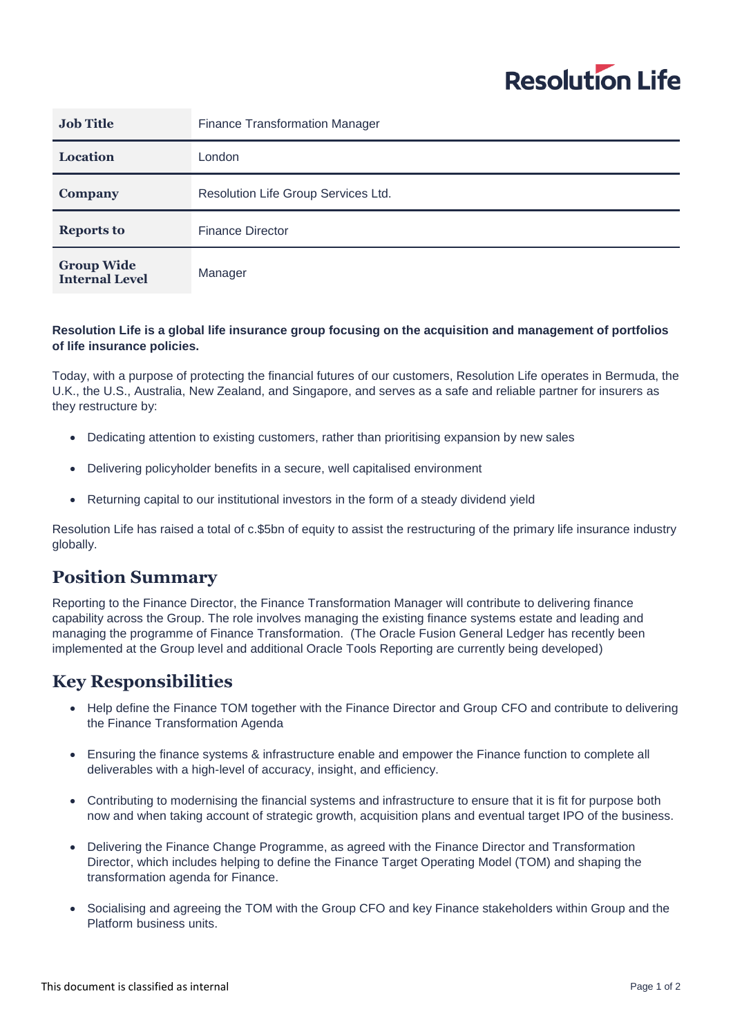# **Resolution Life**

| <b>Job Title</b>                           | <b>Finance Transformation Manager</b> |
|--------------------------------------------|---------------------------------------|
| <b>Location</b>                            | London                                |
| Company                                    | Resolution Life Group Services Ltd.   |
| <b>Reports to</b>                          | <b>Finance Director</b>               |
| <b>Group Wide</b><br><b>Internal Level</b> | Manager                               |

#### **Resolution Life is a global life insurance group focusing on the acquisition and management of portfolios of life insurance policies.**

Today, with a purpose of protecting the financial futures of our customers, Resolution Life operates in Bermuda, the U.K., the U.S., Australia, New Zealand, and Singapore, and serves as a safe and reliable partner for insurers as they restructure by:

- Dedicating attention to existing customers, rather than prioritising expansion by new sales
- Delivering policyholder benefits in a secure, well capitalised environment
- Returning capital to our institutional investors in the form of a steady dividend yield

Resolution Life has raised a total of c.\$5bn of equity to assist the restructuring of the primary life insurance industry globally.

# **Position Summary**

Reporting to the Finance Director, the Finance Transformation Manager will contribute to delivering finance capability across the Group. The role involves managing the existing finance systems estate and leading and managing the programme of Finance Transformation. (The Oracle Fusion General Ledger has recently been implemented at the Group level and additional Oracle Tools Reporting are currently being developed)

# **Key Responsibilities**

- Help define the Finance TOM together with the Finance Director and Group CFO and contribute to delivering the Finance Transformation Agenda
- Ensuring the finance systems & infrastructure enable and empower the Finance function to complete all deliverables with a high-level of accuracy, insight, and efficiency.
- Contributing to modernising the financial systems and infrastructure to ensure that it is fit for purpose both now and when taking account of strategic growth, acquisition plans and eventual target IPO of the business.
- Delivering the Finance Change Programme, as agreed with the Finance Director and Transformation Director, which includes helping to define the Finance Target Operating Model (TOM) and shaping the transformation agenda for Finance.
- Socialising and agreeing the TOM with the Group CFO and key Finance stakeholders within Group and the Platform business units.